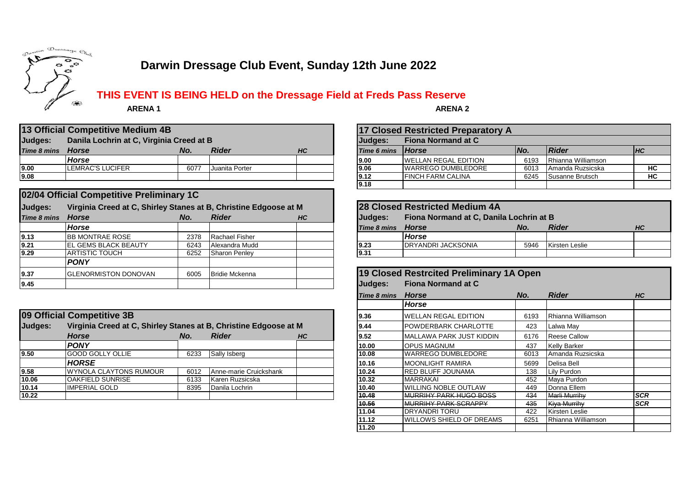

# **Darwin Dressage Club Event, Sunday 12th June 2022**

**THIS EVENT IS BEING HELD on the Dressage Field at Freds Pass Reserve**

 **ARENA 1**

**ARENA 2**

| 13 Official Competitive Medium 4B                   |                  |      |                |                                             |                   | 17 Closed Restricted Preparatory A |            |                    |                  |
|-----------------------------------------------------|------------------|------|----------------|---------------------------------------------|-------------------|------------------------------------|------------|--------------------|------------------|
| Judges:<br>Danila Lochrin at C, Virginia Creed at B |                  |      |                | <b>Fiona Normand at C</b><br><b>Judaes:</b> |                   |                                    |            |                    |                  |
| Time 8 mins                                         | <b>Horse</b>     | No.  | <b>Rider</b>   | <b>HC</b>                                   | Time 6 mins Horse |                                    | <i>No.</i> | <b>Rider</b>       | $H$ <sub>C</sub> |
|                                                     | Horse            |      |                |                                             | 9.00              | <b>WELLAN REGAL EDITION</b>        | 6193       | Rhianna Williamson |                  |
| 9.00                                                | LEMRAC'S LUCIFER | 6077 | Juanita Porter |                                             | 9.06              | <b>WARREGO DUMBLEDORE</b>          | 6013       | Amanda Ruzsicska   | HC               |
| 9.08                                                |                  |      |                |                                             | 9.12              | <b>IFINCH FARM CALINA</b>          | 6245       | Susanne Brutsch    | HC               |

|             | 02/04 Official Competitive Preliminary 1C                        |      |                       |    |                    |                                          |      |                       |  |  |
|-------------|------------------------------------------------------------------|------|-----------------------|----|--------------------|------------------------------------------|------|-----------------------|--|--|
| Judges:     | Virginia Creed at C, Shirley Stanes at B, Christine Edgoose at M |      |                       |    |                    | 28 Closed Restricted Medium 4A           |      |                       |  |  |
| Time 8 mins | Horse                                                            | No.  | <b>Rider</b>          | HC | Judges:            | Fiona Normand at C, Danila Lochrin at B  |      |                       |  |  |
|             | Horse                                                            |      |                       |    | <b>Time 8 mins</b> | <b>Horse</b>                             | No.  | <b>Rider</b>          |  |  |
| 9.13        | <b>BB MONTRAE ROSE</b>                                           | 2378 | Rachael Fisher        |    |                    | <b>Horse</b>                             |      |                       |  |  |
| 9.21        | <b>EL GEMS BLACK BEAUTY</b>                                      | 6243 | Alexandra Mudd        |    | 9.23               | <b>DRYANDRI JACKSONIA</b>                | 5946 | <b>Kirsten Leslie</b> |  |  |
| 9.29        | ARTISTIC TOUCH                                                   | 6252 | Sharon Penley         |    | 9.31               |                                          |      |                       |  |  |
|             | <b>PONY</b>                                                      |      |                       |    |                    |                                          |      |                       |  |  |
| 9.37        | <b>GLENORMISTON DONOVAN</b>                                      | 6005 | <b>Bridie Mckenna</b> |    |                    | 19 Closed Restrcited Preliminary 1A Open |      |                       |  |  |
| 9.45        |                                                                  |      |                       |    | Judges:            | <b>Fiona Normand at C</b>                |      |                       |  |  |

|         | 09 Official Competitive 3B                                       |      |                        |    |       | <b>WELLAN REGAL EDITION</b>   | 6193 | Rhianna Williamson  |            |
|---------|------------------------------------------------------------------|------|------------------------|----|-------|-------------------------------|------|---------------------|------------|
| Judges: | Virginia Creed at C, Shirley Stanes at B, Christine Edgoose at M |      |                        |    | 9.44  | <b>POWDERBARK CHARLOTTE</b>   | 423  | Lalwa May           |            |
|         | <b>Horse</b>                                                     | No.  | <b>Rider</b>           | HC | 9.52  | MALLAWA PARK JUST KIDDIN      | 6176 | <b>Reese Callow</b> |            |
|         | <b>PONY</b>                                                      |      |                        |    | 10.00 | <b>OPUS MAGNUM</b>            | 437  | <b>Kelly Barker</b> |            |
| 9.50    | <b>GOOD GOLLY OLLIE</b>                                          | 6233 | Sally Isberg           |    | 10.08 | <b>IWARREGO DUMBLEDORE</b>    | 6013 | Amanda Ruzsicska    |            |
|         | <b>HORSE</b>                                                     |      |                        |    | 10.16 | <b>MOONLIGHT RAMIRA</b>       | 5699 | Delisa Bell         |            |
| 9.58    | <b>WYNOLA CLAYTONS RUMOUR</b>                                    | 6012 | Anne-marie Cruickshank |    | 10.24 | <b>IRED BLUFF JOUNAMA</b>     | 138  | Lily Purdon         |            |
| 10.06   | <b>OAKFIELD SUNRISE</b>                                          | 6133 | Karen Ruzsicska        |    | 10.32 | <b>MARRAKAL</b>               | 452  | Maya Purdon         |            |
| 10.14   | <b>IMPERIAL GOLD</b>                                             | 8395 | Danila Lochrin         |    | 10.40 | <b>WILLING NOBLE OUTLAW</b>   | 449  | Donna Ellem         |            |
| 10.22   |                                                                  |      |                        |    | 10.48 | <b>MURRIHY PARK HUGO BOSS</b> | 434  | Marli Murrihy       | <b>SCR</b> |
|         |                                                                  |      |                        |    |       |                               |      |                     |            |

| 17 Closed Restricted Preparatory A |                              |      |                    |           |  |  |  |  |  |
|------------------------------------|------------------------------|------|--------------------|-----------|--|--|--|--|--|
| Judges:                            | <b>Fiona Normand at C</b>    |      |                    |           |  |  |  |  |  |
| <b>Time 6 mins</b>                 | <b>Horse</b>                 | No.  | <b>Rider</b>       | <b>HC</b> |  |  |  |  |  |
| 9.00                               | <b>IWELLAN REGAL EDITION</b> | 6193 | Rhianna Williamson |           |  |  |  |  |  |
| 9.06                               | <b>WARREGO DUMBLEDORE</b>    | 6013 | Amanda Ruzsicska   | НC        |  |  |  |  |  |
| 9.12                               | <b>FINCH FARM CALINA</b>     | 6245 | Susanne Brutsch    | HC        |  |  |  |  |  |
| 9.18                               |                              |      |                    |           |  |  |  |  |  |

| Virginia Creed at C, Shirley Stanes at B, Christine Edgoose at M |      |                       |           |                | <b>28 Closed Restricted Medium 4A</b>   |      |                |           |  |  |
|------------------------------------------------------------------|------|-----------------------|-----------|----------------|-----------------------------------------|------|----------------|-----------|--|--|
| <b>Horse</b>                                                     | No.  | <b>Rider</b>          | <b>HC</b> | <b>Judges:</b> | Fiona Normand at C, Danila Lochrin at B |      |                |           |  |  |
| <b>Horse</b>                                                     |      |                       |           | Time 8 mins    | Horse                                   | No.  | <b>Rider</b>   | <b>HC</b> |  |  |
| BB MONTRAE ROSE                                                  | 2378 | Rachael Fisher        |           |                | <b>Horse</b>                            |      |                |           |  |  |
| EL GEMS BLACK BEAUTY                                             | 6243 | <b>Alexandra Mudd</b> |           | 9.23           | <b>IDRYANDRI JACKSONIA</b>              | 5946 | Kirsten Leslie |           |  |  |
| ARTISTIC TOUCH                                                   | 6252 | <b>Sharon Penley</b>  |           | 19.31          |                                         |      |                |           |  |  |
|                                                                  |      |                       |           |                |                                         |      |                |           |  |  |

|             | 19 Closed Restrcited Preliminary 1A Open |      |                     |            |
|-------------|------------------------------------------|------|---------------------|------------|
| Judges:     | <b>Fiona Normand at C</b>                |      |                     |            |
| Time 8 mins | <b>Horse</b>                             | No.  | <b>Rider</b>        | HС         |
|             | <b>Horse</b>                             |      |                     |            |
| 9.36        | <b>WELLAN REGAL EDITION</b>              | 6193 | IRhianna Williamson |            |
| 9.44        | POWDERBARK CHARLOTTE                     | 423  | Lalwa May           |            |
| 9.52        | MALLAWA PARK JUST KIDDIN                 | 6176 | Reese Callow        |            |
| 10.00       | <b>OPUS MAGNUM</b>                       | 437  | <b>Kelly Barker</b> |            |
| 10.08       | <b>WARREGO DUMBLEDORE</b>                | 6013 | Amanda Ruzsicska    |            |
| 10.16       | <b>MOONLIGHT RAMIRA</b>                  | 5699 | Delisa Bell         |            |
| 10.24       | <b>RED BLUFF JOUNAMA</b>                 | 138  | Lily Purdon         |            |
| 10.32       | <b>MARRAKAI</b>                          | 452  | Maya Purdon         |            |
| 10.40       | WILLING NOBLE OUTLAW                     | 449  | Donna Ellem         |            |
| 10.48       | <b>MURRIHY PARK HUGO BOSS</b>            | 434  | Marli Murrihy       | <b>SCR</b> |
| 10.56       | <b>MURRIHY PARK SCRAPPY</b>              | 435  | Kiya Murrihy        | <b>SCR</b> |
| 11.04       | <b>DRYANDRITORU</b>                      | 422  | Kirsten Leslie      |            |
| 11.12       | WILLOWS SHIELD OF DREAMS                 | 6251 | Rhianna Williamson  |            |
| 11.20       |                                          |      |                     |            |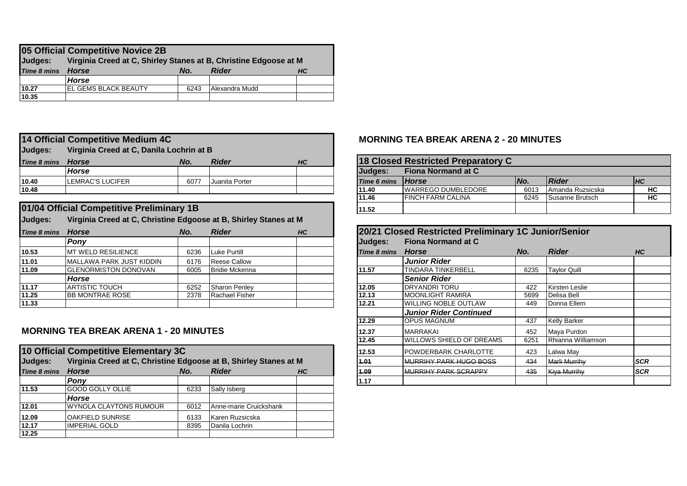| 05 Official Competitive Novice 2B |                                                                  |      |                |           |  |  |  |  |  |  |
|-----------------------------------|------------------------------------------------------------------|------|----------------|-----------|--|--|--|--|--|--|
| Judges:                           | Virginia Creed at C, Shirley Stanes at B, Christine Edgoose at M |      |                |           |  |  |  |  |  |  |
| Time 8 mins                       | Horse                                                            | No.  | <b>Rider</b>   | <b>HC</b> |  |  |  |  |  |  |
|                                   | Horse                                                            |      |                |           |  |  |  |  |  |  |
| 10.27                             | IEL GEMS BLACK BEAUTY                                            | 6243 | Alexandra Mudd |           |  |  |  |  |  |  |
| 10.35                             |                                                                  |      |                |           |  |  |  |  |  |  |

#### **Judges: Virginia Creed at C, Danila Lochrin at B** *Time 8 mins Horse No. Rider HC Horse* **Judges: Fiona Normand at C 10.40** LEMRAC'S LUCIFER 6077 Juanita Porter **10.48 10.48 11.40** WARREGO DUMBLEDORE 6013 Amanda Ruzsicska **HC 14 Official Competitive Medium 4C**

|                    | 01/04 Official Competitive Preliminary 1B                        |                           |                       |  | 11.52              |                                                      |      |                     |    |
|--------------------|------------------------------------------------------------------|---------------------------|-----------------------|--|--------------------|------------------------------------------------------|------|---------------------|----|
| Judges:            | Virginia Creed at C, Christine Edgoose at B, Shirley Stanes at M |                           |                       |  |                    |                                                      |      |                     |    |
| <b>Time 8 mins</b> | Horse                                                            | <b>Rider</b><br>No.<br>HC |                       |  |                    | 20/21 Closed Restricted Preliminary 1C Junior/Senior |      |                     |    |
|                    | Pony                                                             |                           |                       |  | Judges:            | <b>Fiona Normand at C</b>                            |      |                     |    |
| 10.53              | IMT WELD RESILIENCE                                              | 6236                      | Luke Purtill          |  | <b>Time 8 mins</b> | Horse                                                | No.  | <b>Rider</b>        | HC |
| 11.01              | MALLAWA PARK JUST KIDDIN                                         | 6176                      | <b>Reese Callow</b>   |  |                    | <b>Junior Rider</b>                                  |      |                     |    |
| 11.09              | <b>IGLENORMISTON DONOVAN</b>                                     | 6005                      | <b>Bridie Mckenna</b> |  | 11.57              | <b>TINDARA TINKERBELL</b>                            | 6235 | <b>Taylor Quill</b> |    |
|                    | Horse                                                            |                           |                       |  |                    | <b>Senior Rider</b>                                  |      |                     |    |
| 11.17              | <b>ARTISTIC TOUCH</b>                                            | 6252                      | <b>Sharon Penley</b>  |  | 12.05              | <b>IDRYANDRITORU</b>                                 | 422  | Kirsten Leslie      |    |
| 11.25              | <b>IBB MONTRAE ROSE</b>                                          | 2378                      | Rachael Fisher        |  | 12.13              | MOONLIGHT RAMIRA                                     | 5699 | Delisa Bell         |    |
| 11.33              |                                                                  |                           |                       |  | 12.21              | <b>WILLING NOBLE OUTLAW</b>                          | 449  | Donna Ellem         |    |

### **MORNING TEA BREAK ARENA 1 - 20 MINUTES**

|                    | 10 Official Competitive Elementary 3C                            |      |                        |    |  | 12.53 | <b>IPOWDERBARK CHARLOTTE</b>  | 423 | Lalwa May            |             |
|--------------------|------------------------------------------------------------------|------|------------------------|----|--|-------|-------------------------------|-----|----------------------|-------------|
| Judges:            | Virginia Creed at C, Christine Edgoose at B, Shirley Stanes at M |      |                        |    |  | 4.04  | <b>MURRIHY PARK HUGO BOSS</b> | 434 | <b>Marli Murrihy</b> | <b>ISCR</b> |
| <b>Time 8 mins</b> | <b>Horse</b>                                                     | No.  | <b>Rider</b>           | HC |  | 4.09. | <b>MURRIHY PARK SCRAPPY</b>   | 435 | Kiya Murrihy         | <b>SCR</b>  |
|                    | Ponv                                                             |      |                        |    |  | 1.17  |                               |     |                      |             |
| 11.53              | <b>GOOD GOLLY OLLIE</b>                                          | 6233 | Sally Isberg           |    |  |       |                               |     |                      |             |
|                    | Horse                                                            |      |                        |    |  |       |                               |     |                      |             |
| 12.01              | <b>IWYNOLA CLAYTONS RUMOUR</b>                                   | 6012 | Anne-marie Cruickshank |    |  |       |                               |     |                      |             |
| 12.09              | IOAKFIELD SUNRISE                                                | 6133 | Karen Ruzsicska        |    |  |       |                               |     |                      |             |
| 12.17              | IIMPERIAL GOLD                                                   | 8395 | Danila Lochrin         |    |  |       |                               |     |                      |             |
| 12.25              |                                                                  |      |                        |    |  |       |                               |     |                      |             |

#### **MORNING TEA BREAK ARENA 2 - 20 MINUTES**

| 18 Closed Restricted Preparatory C |                           |      |                  |           |  |  |  |  |
|------------------------------------|---------------------------|------|------------------|-----------|--|--|--|--|
| Judges:                            | <b>Fiona Normand at C</b> |      |                  |           |  |  |  |  |
| Time 6 mins                        | <b>Horse</b>              | No.  | <b>Rider</b>     | <b>HC</b> |  |  |  |  |
| 11.40                              | lWARREGO DUMBLEDORE       | 6013 | Amanda Ruzsicska | НC        |  |  |  |  |
| 11.46                              | <b>FINCH FARM CALINA</b>  | 6245 | Susanne Brutsch  | HC        |  |  |  |  |
| 11.52                              |                           |      |                  |           |  |  |  |  |

|             | 20/21 Closed Restricted Preliminary 1C Junior/Senior |      |                      |            |
|-------------|------------------------------------------------------|------|----------------------|------------|
| Judges:     | <b>Fiona Normand at C</b>                            |      |                      |            |
| Time 8 mins | <b>Horse</b>                                         | No.  | <b>Rider</b>         | HC         |
|             | <b>Junior Rider</b>                                  |      |                      |            |
| 11.57       | <b>TINDARA TINKERBELL</b>                            | 6235 | <b>Taylor Quill</b>  |            |
|             | <b>Senior Rider</b>                                  |      |                      |            |
| 12.05       | DRYANDRI TORU                                        | 422  | Kirsten Leslie       |            |
| 12.13       | <b>MOONLIGHT RAMIRA</b>                              | 5699 | Delisa Bell          |            |
| 12.21       | <b>WILLING NOBLE OUTLAW</b>                          | 449  | Donna Ellem          |            |
|             | <b>Junior Rider Continued</b>                        |      |                      |            |
| 12.29       | <b>OPUS MAGNUM</b>                                   | 437  | <b>Kelly Barker</b>  |            |
| 12.37       | <b>MARRAKAI</b>                                      | 452  | Maya Purdon          |            |
| 12.45       | WILLOWS SHIELD OF DREAMS                             | 6251 | Rhianna Williamson   |            |
| 12.53       | POWDERBARK CHARLOTTE                                 | 423  | Lalwa May            |            |
| 1.01        | <b>MURRIHY PARK HUGO BOSS</b>                        | 434  | <b>Marli Murrihy</b> | <b>SCR</b> |
| 1.09        | MURRIHY PARK SCRAPPY                                 | 435  | Kiya Murrihy         | <b>SCR</b> |
| 1.17        |                                                      |      |                      |            |